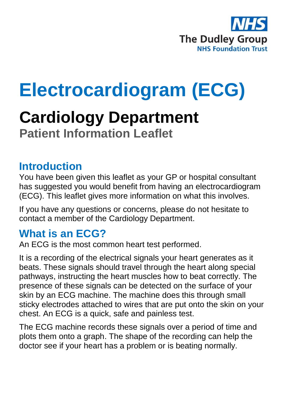

# **Electrocardiogram (ECG)**

## **Cardiology Department Patient Information Leaflet**

#### **Introduction**

You have been given this leaflet as your GP or hospital consultant has suggested you would benefit from having an electrocardiogram (ECG). This leaflet gives more information on what this involves.

If you have any questions or concerns, please do not hesitate to contact a member of the Cardiology Department.

#### **What is an ECG?**

An ECG is the most common heart test performed.

It is a recording of the electrical signals your heart generates as it beats. These signals should travel through the heart along special pathways, instructing the heart muscles how to beat correctly. The presence of these signals can be detected on the surface of your skin by an ECG machine. The machine does this through small sticky electrodes attached to wires that are put onto the skin on your chest. An ECG is a quick, safe and painless test.

The ECG machine records these signals over a period of time and plots them onto a graph. The shape of the recording can help the doctor see if your heart has a problem or is beating normally.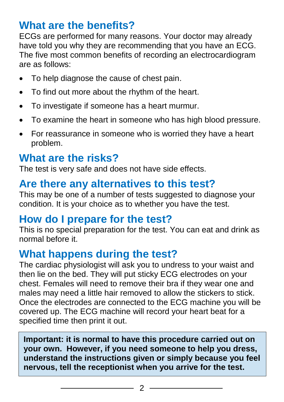#### **What are the benefits?**

ECGs are performed for many reasons. Your doctor may already have told you why they are recommending that you have an ECG. The five most common benefits of recording an electrocardiogram are as follows:

- To help diagnose the cause of chest pain.
- To find out more about the rhythm of the heart.
- To investigate if someone has a heart murmur.
- To examine the heart in someone who has high blood pressure.
- For reassurance in someone who is worried they have a heart problem.

## **What are the risks?**

The test is very safe and does not have side effects.

#### **Are there any alternatives to this test?**

This may be one of a number of tests suggested to diagnose your condition. It is your choice as to whether you have the test.

#### **How do I prepare for the test?**

This is no special preparation for the test. You can eat and drink as normal before it.

#### **What happens during the test?**

The cardiac physiologist will ask you to undress to your waist and then lie on the bed. They will put sticky ECG electrodes on your chest. Females will need to remove their bra if they wear one and males may need a little hair removed to allow the stickers to stick. Once the electrodes are connected to the ECG machine you will be covered up. The ECG machine will record your heart beat for a specified time then print it out.

**Important: it is normal to have this procedure carried out on your own. However, if you need someone to help you dress, understand the instructions given or simply because you feel nervous, tell the receptionist when you arrive for the test.**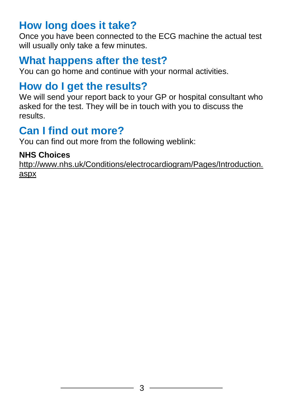#### **How long does it take?**

Once you have been connected to the ECG machine the actual test will usually only take a few minutes.

#### **What happens after the test?**

You can go home and continue with your normal activities.

## **How do I get the results?**

We will send your report back to your GP or hospital consultant who asked for the test. They will be in touch with you to discuss the results.

#### **Can I find out more?**

You can find out more from the following weblink:

#### **NHS Choices**

[http://www.nhs.uk/Conditions/electrocardiogram/Pages/Introduction.](http://www.nhs.uk/Conditions/electrocardiogram/Pages/Introduction.aspx) [aspx](http://www.nhs.uk/Conditions/electrocardiogram/Pages/Introduction.aspx)